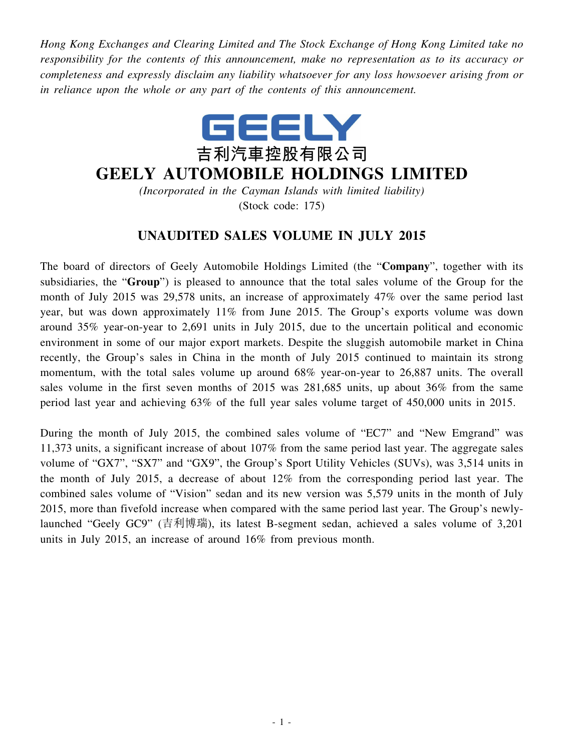*Hong Kong Exchanges and Clearing Limited and The Stock Exchange of Hong Kong Limited take no responsibility for the contents of this announcement, make no representation as to its accuracy or completeness and expressly disclaim any liability whatsoever for any loss howsoever arising from or in reliance upon the whole or any part of the contents of this announcement.*



## **GEELY AUTOMOBILE HOLDINGS LIMITED**

*(Incorporated in the Cayman Islands with limited liability)* (Stock code: 175)

## **UNAUDITED SALES VOLUME IN JULY 2015**

The board of directors of Geely Automobile Holdings Limited (the "**Company**", together with its subsidiaries, the "**Group**") is pleased to announce that the total sales volume of the Group for the month of July 2015 was 29,578 units, an increase of approximately 47% over the same period last year, but was down approximately 11% from June 2015. The Group's exports volume was down around 35% year-on-year to 2,691 units in July 2015, due to the uncertain political and economic environment in some of our major export markets. Despite the sluggish automobile market in China recently, the Group's sales in China in the month of July 2015 continued to maintain its strong momentum, with the total sales volume up around 68% year-on-year to 26,887 units. The overall sales volume in the first seven months of 2015 was 281,685 units, up about 36% from the same period last year and achieving 63% of the full year sales volume target of 450,000 units in 2015.

During the month of July 2015, the combined sales volume of "EC7" and "New Emgrand" was 11,373 units, a significant increase of about 107% from the same period last year. The aggregate sales volume of "GX7", "SX7" and "GX9", the Group's Sport Utility Vehicles (SUVs), was 3,514 units in the month of July 2015, a decrease of about 12% from the corresponding period last year. The combined sales volume of "Vision" sedan and its new version was 5,579 units in the month of July 2015, more than fivefold increase when compared with the same period last year. The Group's newlylaunched "Geely GC9" (吉利博瑞), its latest B-segment sedan, achieved a sales volume of 3,201 units in July 2015, an increase of around 16% from previous month.